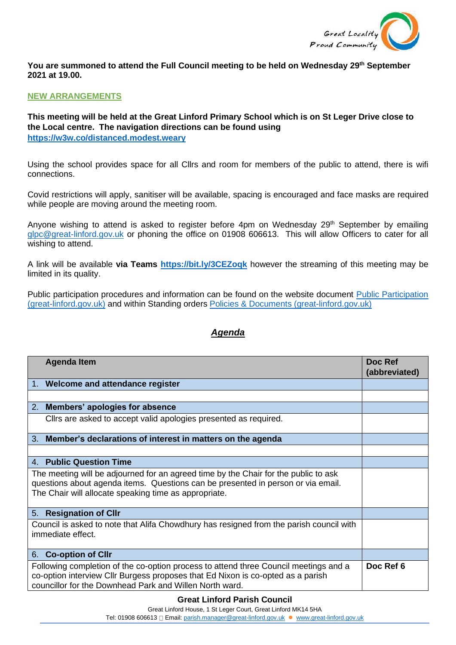

**You are summoned to attend the Full Council meeting to be held on Wednesday 29th September 2021 at 19.00.** 

## **NEW ARRANGEMENTS**

**This meeting will be held at the Great Linford Primary School which is on St Leger Drive close to the Local centre. The navigation directions can be found using <https://w3w.co/distanced.modest.weary>**

Using the school provides space for all Cllrs and room for members of the public to attend, there is wifi connections.

Covid restrictions will apply, sanitiser will be available, spacing is encouraged and face masks are required while people are moving around the meeting room.

Anyone wishing to attend is asked to register before 4pm on Wednesday 29<sup>th</sup> September by emailing [glpc@great-linford.gov.uk](mailto:glpc@great-linford.gov.uk) or phoning the office on 01908 606613. This will allow Officers to cater for all wishing to attend.

A link will be available **via Teams <https://bit.ly/3CEZoqk>** however the streaming of this meeting may be limited in its quality.

Public participation procedures and information can be found on the website document [Public Participation](https://www.great-linford.gov.uk/council-meetings/public-participation/)  [\(great-linford.gov.uk\)](https://www.great-linford.gov.uk/council-meetings/public-participation/) and within Standing orders [Policies & Documents \(great-linford.gov.uk\)](https://www.great-linford.gov.uk/the-parish-council/policies-documents/)

## *Agenda*

| <b>Agenda Item</b>                                                                                                                                                                                                                 | Doc Ref<br>(abbreviated) |
|------------------------------------------------------------------------------------------------------------------------------------------------------------------------------------------------------------------------------------|--------------------------|
| 1. Welcome and attendance register                                                                                                                                                                                                 |                          |
|                                                                                                                                                                                                                                    |                          |
| 2. Members' apologies for absence                                                                                                                                                                                                  |                          |
| Clirs are asked to accept valid apologies presented as required.                                                                                                                                                                   |                          |
| 3. Member's declarations of interest in matters on the agenda                                                                                                                                                                      |                          |
|                                                                                                                                                                                                                                    |                          |
| 4. Public Question Time                                                                                                                                                                                                            |                          |
| The meeting will be adjourned for an agreed time by the Chair for the public to ask<br>questions about agenda items. Questions can be presented in person or via email.<br>The Chair will allocate speaking time as appropriate.   |                          |
| <b>Resignation of Cllr</b><br>5.                                                                                                                                                                                                   |                          |
| Council is asked to note that Alifa Chowdhury has resigned from the parish council with<br>immediate effect.                                                                                                                       |                          |
| <b>Co-option of Cllr</b><br>6.                                                                                                                                                                                                     |                          |
| Following completion of the co-option process to attend three Council meetings and a<br>co-option interview Cllr Burgess proposes that Ed Nixon is co-opted as a parish<br>councillor for the Downhead Park and Willen North ward. | Doc Ref 6                |

## **Great Linford Parish Council**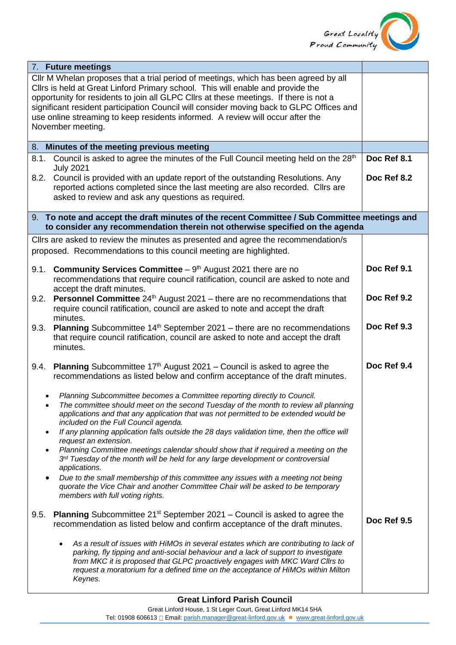

| 7. Future meetings                                                                                                                                                                                                                                                                                                                                                                                                                                                  |             |
|---------------------------------------------------------------------------------------------------------------------------------------------------------------------------------------------------------------------------------------------------------------------------------------------------------------------------------------------------------------------------------------------------------------------------------------------------------------------|-------------|
| Cllr M Whelan proposes that a trial period of meetings, which has been agreed by all<br>Cllrs is held at Great Linford Primary school. This will enable and provide the<br>opportunity for residents to join all GLPC Cllrs at these meetings. If there is not a<br>significant resident participation Council will consider moving back to GLPC Offices and<br>use online streaming to keep residents informed. A review will occur after the<br>November meeting. |             |
| 8. Minutes of the meeting previous meeting                                                                                                                                                                                                                                                                                                                                                                                                                          |             |
| Council is asked to agree the minutes of the Full Council meeting held on the 28 <sup>th</sup><br>8.1.<br><b>July 2021</b>                                                                                                                                                                                                                                                                                                                                          | Doc Ref 8.1 |
| Council is provided with an update report of the outstanding Resolutions. Any<br>8.2.<br>reported actions completed since the last meeting are also recorded. Cllrs are<br>asked to review and ask any questions as required.                                                                                                                                                                                                                                       | Doc Ref 8.2 |
| 9. To note and accept the draft minutes of the recent Committee / Sub Committee meetings and<br>to consider any recommendation therein not otherwise specified on the agenda                                                                                                                                                                                                                                                                                        |             |
| Cllrs are asked to review the minutes as presented and agree the recommendation/s<br>proposed. Recommendations to this council meeting are highlighted.                                                                                                                                                                                                                                                                                                             |             |
| <b>Community Services Committee</b> $-9th$ August 2021 there are no<br>9.1.<br>recommendations that require council ratification, council are asked to note and<br>accept the draft minutes.                                                                                                                                                                                                                                                                        | Doc Ref 9.1 |
| <b>Personnel Committee</b> $24th$ August 2021 – there are no recommendations that<br>9.2.<br>require council ratification, council are asked to note and accept the draft<br>minutes.                                                                                                                                                                                                                                                                               | Doc Ref 9.2 |
| <b>Planning</b> Subcommittee $14th$ September 2021 – there are no recommendations<br>9.3.<br>that require council ratification, council are asked to note and accept the draft<br>minutes.                                                                                                                                                                                                                                                                          | Doc Ref 9.3 |
| 9.4.<br><b>Planning</b> Subcommittee $17th$ August 2021 – Council is asked to agree the<br>recommendations as listed below and confirm acceptance of the draft minutes.                                                                                                                                                                                                                                                                                             | Doc Ref 9.4 |
| Planning Subcommittee becomes a Committee reporting directly to Council.<br>The committee should meet on the second Tuesday of the month to review all planning<br>applications and that any application that was not permitted to be extended would be<br>included on the Full Council agenda.<br>If any planning application falls outside the 28 days validation time, then the office will<br>$\bullet$                                                         |             |
| request an extension.<br>Planning Committee meetings calendar should show that if required a meeting on the<br>$\bullet$<br>$3rd$ Tuesday of the month will be held for any large development or controversial<br>applications.                                                                                                                                                                                                                                     |             |
| Due to the small membership of this committee any issues with a meeting not being<br>$\bullet$<br>quorate the Vice Chair and another Committee Chair will be asked to be temporary<br>members with full voting rights.                                                                                                                                                                                                                                              |             |
| <b>Planning</b> Subcommittee $21^{st}$ September 2021 – Council is asked to agree the<br>9.5.<br>recommendation as listed below and confirm acceptance of the draft minutes.                                                                                                                                                                                                                                                                                        | Doc Ref 9.5 |
| As a result of issues with HiMOs in several estates which are contributing to lack of<br>parking, fly tipping and anti-social behaviour and a lack of support to investigate<br>from MKC it is proposed that GLPC proactively engages with MKC Ward Cllrs to<br>request a moratorium for a defined time on the acceptance of HiMOs within Milton<br>Keynes.                                                                                                         |             |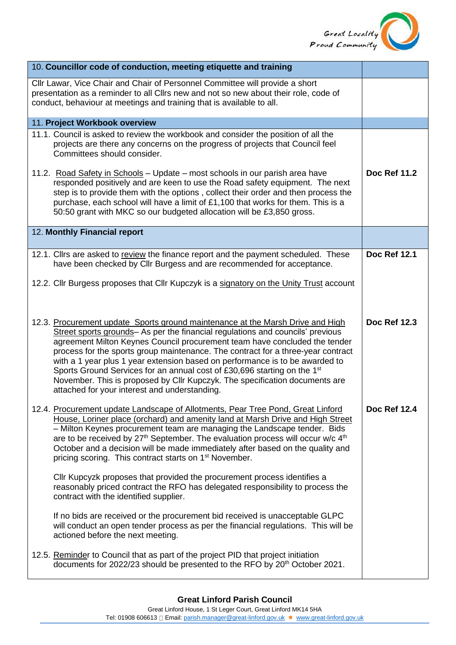

| 10. Councillor code of conduction, meeting etiquette and training                                                                                                                                                                                                                                                                                                                                                                                                                                                                                                                                                                          |                     |
|--------------------------------------------------------------------------------------------------------------------------------------------------------------------------------------------------------------------------------------------------------------------------------------------------------------------------------------------------------------------------------------------------------------------------------------------------------------------------------------------------------------------------------------------------------------------------------------------------------------------------------------------|---------------------|
| Cllr Lawar, Vice Chair and Chair of Personnel Committee will provide a short<br>presentation as a reminder to all Cllrs new and not so new about their role, code of<br>conduct, behaviour at meetings and training that is available to all.                                                                                                                                                                                                                                                                                                                                                                                              |                     |
| 11. Project Workbook overview                                                                                                                                                                                                                                                                                                                                                                                                                                                                                                                                                                                                              |                     |
| 11.1. Council is asked to review the workbook and consider the position of all the<br>projects are there any concerns on the progress of projects that Council feel<br>Committees should consider.<br>11.2. Road Safety in Schools - Update - most schools in our parish area have<br>responded positively and are keen to use the Road safety equipment. The next<br>step is to provide them with the options, collect their order and then process the<br>purchase, each school will have a limit of £1,100 that works for them. This is a<br>50:50 grant with MKC so our budgeted allocation will be £3,850 gross.                      | <b>Doc Ref 11.2</b> |
| 12. Monthly Financial report                                                                                                                                                                                                                                                                                                                                                                                                                                                                                                                                                                                                               |                     |
| 12.1. Cllrs are asked to review the finance report and the payment scheduled. These<br>have been checked by Cllr Burgess and are recommended for acceptance.<br>12.2. Cllr Burgess proposes that Cllr Kupczyk is a signatory on the Unity Trust account                                                                                                                                                                                                                                                                                                                                                                                    | <b>Doc Ref 12.1</b> |
| 12.3. Procurement update Sports ground maintenance at the Marsh Drive and High<br>Street sports grounds- As per the financial regulations and councils' previous<br>agreement Milton Keynes Council procurement team have concluded the tender<br>process for the sports group maintenance. The contract for a three-year contract<br>with a 1 year plus 1 year extension based on performance is to be awarded to<br>Sports Ground Services for an annual cost of £30,696 starting on the 1 <sup>st</sup><br>November. This is proposed by Cllr Kupczyk. The specification documents are<br>attached for your interest and understanding. | <b>Doc Ref 12.3</b> |
| 12.4. Procurement update Landscape of Allotments, Pear Tree Pond, Great Linford<br>House, Loriner place (orchard) and amenity land at Marsh Drive and High Street<br>- Milton Keynes procurement team are managing the Landscape tender. Bids<br>are to be received by $27th$ September. The evaluation process will occur w/c $4th$<br>October and a decision will be made immediately after based on the quality and<br>pricing scoring. This contract starts on 1 <sup>st</sup> November.                                                                                                                                               | <b>Doc Ref 12.4</b> |
| Cllr Kupcyzk proposes that provided the procurement process identifies a<br>reasonably priced contract the RFO has delegated responsibility to process the<br>contract with the identified supplier.                                                                                                                                                                                                                                                                                                                                                                                                                                       |                     |
| If no bids are received or the procurement bid received is unacceptable GLPC<br>will conduct an open tender process as per the financial regulations. This will be<br>actioned before the next meeting.                                                                                                                                                                                                                                                                                                                                                                                                                                    |                     |
| 12.5. Reminder to Council that as part of the project PID that project initiation<br>documents for 2022/23 should be presented to the RFO by 20 <sup>th</sup> October 2021.                                                                                                                                                                                                                                                                                                                                                                                                                                                                |                     |